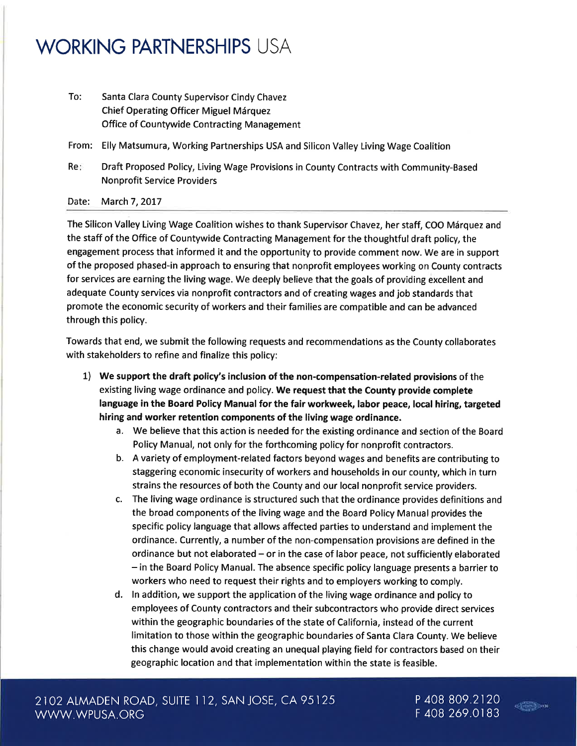## WORKING PARTNERSHIPS USA

Santa Clara County Supervisor Cindy Chavez Chief Operating Officer Miguel Márquez Office of Countywide Contracting Management To:

From: Elly Matsumura, Working Partnerships USA and Silicon Valley Living Wage Coalitior

Re Draft Proposed Policy, Living Wage Provisions in County Contracts with Community-Based Nonprofit Service Providers

## Date: March 7, 2017

The Silicon Valley Living Wage Coalition wishes to thank Supervisor Chavez, her staff, COO Márquez and the staff of the Office of Countywide Contracting Management for the thoughtful draft policy, the engagement process that informed it and the opportunity to provide comment now. We are in support of the proposed phased-in approach to ensuring that nonprofit employees working on County contracts for services are earning the living wage. We deeply believe that the goals of providing excellent and adequate County services via nonprofit contractors and of creating wages and job standards that promote the economic security of workers and their families are compatible and can be advanced through this policy.

Towards that end, we submit the following requests and recommendations as the County collaborates with stakeholders to refine and finalize this policy:

- 1) We support the draft policy's inclusion of the non-compensation-related provisions of the existing living wage ordinance and policy. We request that the County provide complete language in the Board Policy Manual for the fair workweek, labor peace, local hiring, targeted hiring and worker retention components of the living wage ordinance.
	- a. We believe that this action is needed for the existing ordinance and section of the Board Policy Manual, not only for the forthcoming policy for nonprofit contractors.
	- b. A variety of employment-related factors beyond wages and benefits are contributing to staggering economic insecurity of workers and households in our county, which in turn strains the resources of both the County and our local nonprofit service providers.
	- c. The living wage ordinance is structured such that the ordinance provides definitions and the broad components of the living wage and the Board Policy Manual provides the specific policy language that allows affected parties to understand and implement the ordinance. Currently, a number of the non-compensation provisions are defined in the ordinance but not elaborated  $-$  or in the case of labor peace, not sufficiently elaborated - in the Board Policy Manual. The absence specific policy language presents a barrier to workers who need to request their rights and to employers working to comply.
	- d. ln addition, we support the application of the living wage ordinance and policy to employees of County contractors and their subcontractors who provide direct services within the geographic boundaries of the state of California, instead of the current limitation to those within the geographic boundaries of Santa Clara County. We believe this change would avoid creating an unequal playing field for contractors based on their geographic location and that implementation within the state is feasible.

<sup>P</sup>408 809.2120 F 408 269.0183

 $\frac{1}{2}$